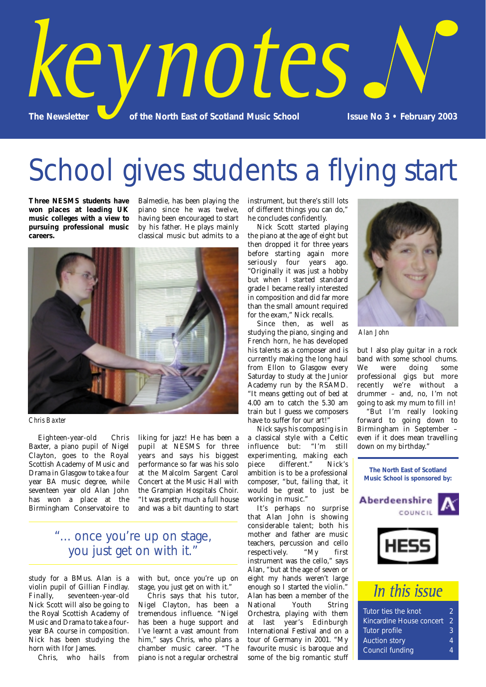

School gives students a flying start

**Three NESMS students have won places at leading UK music colleges with a view to pursuing professional music careers.**

Balmedie, has been playing the piano since he was twelve, having been encouraged to start by his father. He plays mainly classical music but admits to a



*Chris Baxter*

Eighteen-year-old Chris Baxter, a piano pupil of Nigel Clayton, goes to the Royal Scottish Academy of Music and Drama in Glasgow to take a four year BA music degree, while seventeen year old Alan John has won a place at the Birmingham Conservatoire to liking for jazz! He has been a pupil at NESMS for three years and says his biggest performance so far was his solo at the Malcolm Sargent Carol Concert at the Music Hall with the Grampian Hospitals Choir. "It was pretty much a full house and was a bit daunting to start

## "... once you're up on stage, you just get on with it."

study for a BMus. Alan is a violin pupil of Gillian Findlay.<br>Finally, seventeen-year-old seventeen-year-old Nick Scott will also be going to the Royal Scottish Academy of Music and Drama to take a fouryear BA course in composition. Nick has been studying the horn with Ifor James.

Chris, who hails from

with but, once you're up on stage, you just get on with it."

Chris says that his tutor, Nigel Clayton, has been a tremendous influence. "Nigel has been a huge support and I've learnt a vast amount from him," says Chris, who plans a chamber music career. "The piano is not a regular orchestral instrument, but there's still lots of different things you can do," he concludes confidently.

Nick Scott started playing the piano at the age of eight but then dropped it for three years before starting again more seriously four years ago. "Originally it was just a hobby but when I started standard grade I became really interested in composition and did far more than the small amount required for the exam," Nick recalls.

Since then, as well as studying the piano, singing and French horn, he has developed his talents as a composer and is currently making the long haul from Ellon to Glasgow every Saturday to study at the Junior Academy run by the RSAMD. "It means getting out of bed at 4.00 am to catch the 5.30 am train but I guess we composers have to suffer for our art!"

Nick says his composing is in a classical style with a Celtic influence but: "I'm still experimenting, making each piece different." Nick's ambition is to be a professional composer, "but, failing that, it would be great to just be working in music."

It's perhaps no surprise that Alan John is showing considerable talent; both his mother and father are music teachers, percussion and cello respectively. "My first instrument was the cello," says Alan, "but at the age of seven or eight my hands weren't large enough so I started the violin." Alan has been a member of the<br>National Youth String National Youth String Orchestra, playing with them at last year's Edinburgh International Festival and on a tour of Germany in 2001. "My favourite music is baroque and some of the big romantic stuff



*Alan John*

but I also play guitar in a rock band with some school chums.<br>We were doing some were doing some professional gigs but more recently we're without a drummer – and, no, I'm not going to ask my mum to fill in!

"But I'm really looking forward to going down to Birmingham in September – even if it does mean travelling down on my birthday."



# In this issue

| Tutor ties the knot             | ッ   |
|---------------------------------|-----|
| <b>Kincardine House concert</b> | (2) |
| Tutor profile                   | ß.  |
| <b>Auction story</b>            | Δ   |
| <b>Council funding</b>          | Δ   |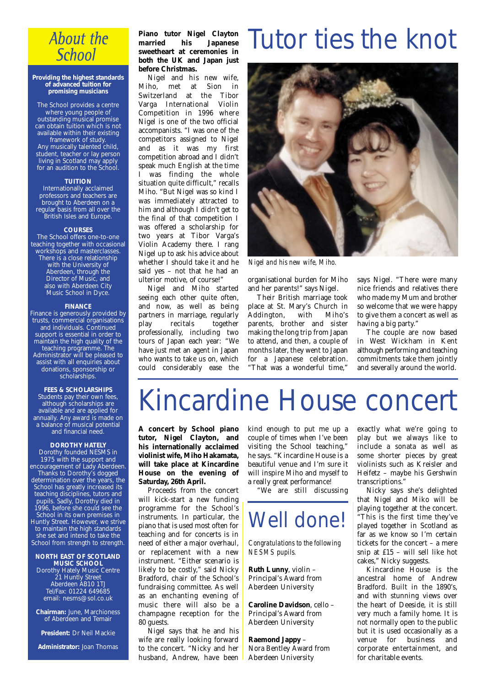## **About the School**

#### **Providing the highest standards of advanced tuition for promising musicians**

The School provides a centre where young people of outstanding musical promise can obtain tuition which is not available within their existing framework of study. Any musically talented child, student, teacher or lay person living in Scotland may apply for an audition to the School.

### **TUITION**

Internationally acclaimed professors and teachers are brought to Aberdeen on a regular basis from all over the British Isles and Europe.

#### **COURSES**

The School offers one-to-one teaching together with occasional workshops and masterclasses. There is a close relationship with the University of Aberdeen, through the Director of Music, and also with Aberdeen City Music School in Dyce.

#### **FINANCE**

Finance is generously provided by trusts, commercial organisations and individuals. Continued support is essential in order to maintain the high quality of the teaching programme. The Administrator will be pleased to assist with all enquiries about donations, sponsorship or scholarships.

### **FEES & SCHOLARSHIPS**

Students pay their own fees, although scholarships are available and are applied for annually. Any award is made on a balance of musical potential and financial need.

#### **DOROTHY HATELY**

Dorothy founded NESMS in 1975 with the support and encouragement of Lady Aberdeen. Thanks to Dorothy's dogged determination over the years, the School has greatly increased its teaching disciplines, tutors and pupils. Sadly, Dorothy died in 1996, before she could see the School in its own premises in Huntly Street. However, we strive to maintain the high standards she set and intend to take the School from strength to strength.

#### **NORTH EAST OF SCOTLAND MUSIC SCHOOL**

Dorothy Hately Music Centre 21 Huntly Street Aberdeen AB10 1TJ Tel/Fax: 01224 649685 email: nesms@sol.co.uk

**Chairman:** June, Marchioness of Aberdeen and Temair

**President:** Dr Neil Mackie

**Administrator:** Joan Thomas

### **Piano tutor Nigel Clayton married his Japanese sweetheart at ceremonies in both the UK and Japan just before Christmas.**

Nigel and his new wife, Miho, met at Sion in Switzerland at the Tibor Varga International Violin Competition in 1996 where Nigel is one of the two official accompanists. "I was one of the competitors assigned to Nigel and as it was my first competition abroad and I didn't speak much English at the time I was finding the whole situation quite difficult," recalls Miho. "But Nigel was so kind I was immediately attracted to him and although I didn't get to the final of that competition I was offered a scholarship for two years at Tibor Varga's Violin Academy there. I rang Nigel up to ask his advice about whether I should take it and he said yes – not that he had an ulterior motive, of course!"

Nigel and Miho started seeing each other quite often, and now, as well as being partners in marriage, regularly play recitals together professionally, including two tours of Japan each year: "We have just met an agent in Japan who wants to take us on, which could considerably ease the

# Tutor ties the knot



*Nigel and his new wife, Miho.*

organisational burden for Miho and her parents!" says Nigel.

Their British marriage took place at St. Mary's Church in<br>Addington. with Miho's Addington, with parents, brother and sister making the long trip from Japan to attend, and then, a couple of months later, they went to Japan for a Japanese celebration. "That was a wonderful time,"

says Nigel. "There were many nice friends and relatives there who made my Mum and brother so welcome that we were happy to give them a concert as well as having a big party."

The couple are now based in West Wickham in Kent although performing and teaching commitments take them jointly and severally around the world.

# Kincardine House concert

**A concert by School piano tutor, Nigel Clayton, and his internationally acclaimed violinist wife, Miho Hakamata, will take place at Kincardine House on the evening of Saturday, 26th April.**

Proceeds from the concert will kick-start a new funding programme for the School's instruments. In particular, the piano that is used most often for teaching and for concerts is in need of either a major overhaul, or replacement with a new instrument. "Either scenario is likely to be costly," said Nicky Bradford, chair of the School's fundraising committee. As well as an enchanting evening of music there will also be a champagne reception for the 80 guests.

Nigel says that he and his wife are really looking forward to the concert. "Nicky and her husband, Andrew, have been kind enough to put me up a couple of times when I've been visiting the School teaching," he says. "Kincardine House is a beautiful venue and I'm sure it will inspire Miho and myself to a really great performance!

"We are still discussing

# Well done!

*Congratulations to the following NESMS pupils.*

**Ruth Lunny**, violin – Principal's Award from Aberdeen University

**Caroline Davidson**, cello – Principal's Award from Aberdeen University

**Raemond Jappy** – Nora Bentley Award from Aberdeen University

exactly what we're going to play but we always like to include a sonata as well as some shorter pieces by great violinists such as Kreisler and Heifetz – maybe his Gershwin transcriptions."

Nicky says she's delighted that Nigel and Miko will be playing together at the concert. "This is the first time they've played together in Scotland as far as we know so I'm certain tickets for the concert – a mere snip at £15 – will sell like hot cakes," Nicky suggests.

Kincardine House is the ancestral home of Andrew Bradford. Built in the 1890's, and with stunning views over the heart of Deeside, it is still very much a family home. It is not normally open to the public but it is used occasionally as a venue for business and corporate entertainment, and for charitable events.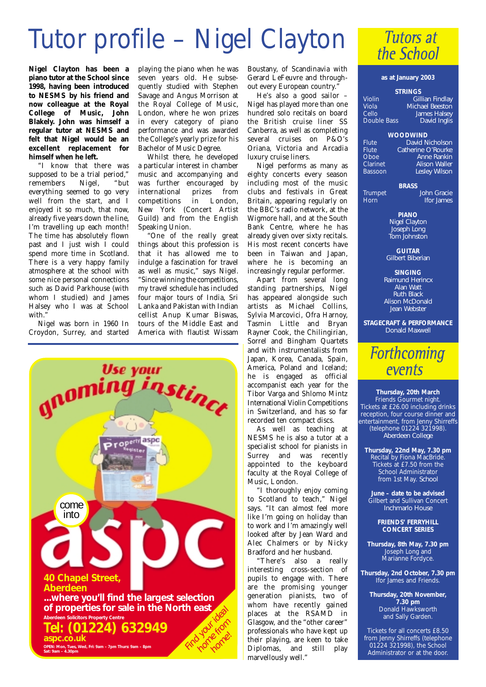# Tutor profile – Nigel Clayton

**Nigel Clayton has been a piano tutor at the School since 1998, having been introduced to NESMS by his friend and now colleague at the Royal College of Music, John Blakely. John was himself a regular tutor at NESMS and felt that Nigel would be an excellent replacement for himself when he left.**

"I know that there was supposed to be a trial period,"<br>remembers Nigel. "but remembers Nigel, "but everything seemed to go very well from the start, and I enjoyed it so much, that now, already five years down the line, I'm travelling up each month! The time has absolutely flown past and I just wish I could spend more time in Scotland. There is a very happy family atmosphere at the school with some nice personal connections such as David Parkhouse (with whom I studied) and James Halsey who I was at School with.'

Nigel was born in 1960 In Croydon, Surrey, and started

playing the piano when he was seven vears old. He subsequently studied with Stephen Savage and Angus Morrison at the Royal College of Music, London, where he won prizes in every category of piano performance and was awarded the College's yearly prize for his Bachelor of Music Degree.

Whilst there, he developed a particular interest in chamber music and accompanying and was further encouraged by international prizes from competitions in London, New York (Concert Artist Guild) and from the English Speaking Union.

"One of the really great things about this profession is that it has allowed me to indulge a fascination for travel as well as music," says Nigel. "Since winning the competitions, my travel schedule has included four major tours of India, Sri Lanka and Pakistan with Indian cellist Anup Kumar Biswas, tours of the Middle East and America with flautist Wissam



Boustany, of Scandinavia with Gerard LeFeuvre and throughout every European country."

He's also a good sailor – Nigel has played more than one hundred solo recitals on board the British cruise liner SS Canberra, as well as completing several cruises on P&O's Oriana, Victoria and Arcadia luxury cruise liners.

Nigel performs as many as eighty concerts every season including most of the music clubs and festivals in Great Britain, appearing regularly on the BBC's radio network, at the Wigmore hall, and at the South Bank Centre, where he has already given over sixty recitals. His most recent concerts have been in Taiwan and Japan, where he is becoming an increasingly regular performer.

Apart from several long standing partnerships, Nigel has appeared alongside such artists as Michael Collins, Sylvia Marcovici, Ofra Harnoy, Tasmin Little and Bryan Rayner Cook, the Chilingirian, Sorrel and Bingham Quartets and with instrumentalists from Japan, Korea, Canada, Spain, America, Poland and Iceland; he is engaged as official accompanist each year for the Tibor Varga and Shlomo Mintz International Violin Competitions in Switzerland, and has so far recorded ten compact discs.

As well as teaching at NESMS he is also a tutor at a specialist school for pianists in Surrey and was recently appointed to the keyboard faculty at the Royal College of Music, London.

"I thoroughly enjoy coming to Scotland to teach," Nigel says. "It can almost feel more like I'm going on holiday than to work and I'm amazingly well looked after by Jean Ward and Alec Chalmers or by Nicky Bradford and her husband.

"There's also a really interesting cross-section of pupils to engage with. There are the promising younger generation pianists, two of whom have recently gained places at the RSAMD in Glasgow, and the "other career" professionals who have kept up their playing, are keen to take Diplomas, and still play marvellously well."

## **Tutors at** the School

#### **as at January 2003**

| <b>STRINGS</b>         |  |
|------------------------|--|
| <b>Gillian Findlay</b> |  |
| <b>Michael Beeston</b> |  |
| <b>James Halsey</b>    |  |
| <b>David Inglis</b>    |  |
|                        |  |

**WOODWIND** Flute *David Nicholson* Flute *Catherine O'Rourke* Oboe *Anne Rankin* Clarinet *Alison Waller* Bassoon *Lesley Wilson*

**BRASS** Trumpet *John Gracie* Horn *Ifor James*

> **PIANO** *Nigel Clayton Joseph Long Tom Johnston*

**GUITAR** *Gilbert Biberian*

**SINGING** *Raimund Herincx Alan Watt Ruth Black Alison McDonald Jean Webster*

**STAGECRAFT & PERFORMANCE** *Donald Maxwell*

## **Forthcoming** events

**Thursday, 20th March** Friends Gourmet night. Tickets at £26.00 including drinks reception, four course dinner and entertainment, from Jenny Shirreffs (telephone 01224 321998). *Aberdeen College*

**Thursday, 22nd May, 7.30 pm** Recital by Fiona MacBride. Tickets at £7.50 from the School Administrator from 1st May. *School*

**June – date to be advised** Gilbert and Sullivan Concert *Inchmarlo House*

> **FRIENDS' FERRYHILL CONCERT SERIES**

**Thursday, 8th May, 7.30 pm** Joseph Long and Marianne Fordyce.

**Thursday, 2nd October, 7.30 pm** Ifor James and Friends.

**Thursday, 20th November, 7.30 pm** Donald Hawksworth and Sally Garden.

Tickets for all concerts £8.50 from Jenny Shirreffs (telephone 01224 321998), the School Administrator or at the door.